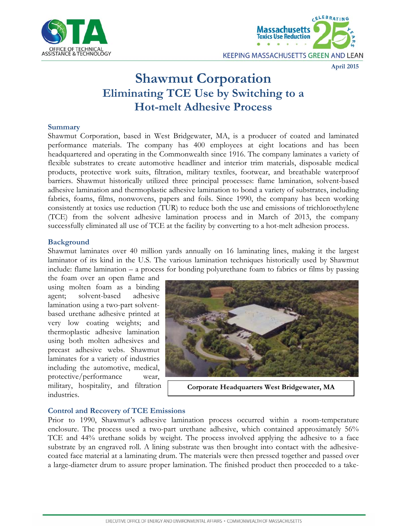



#### **April 2015**

# **Shawmut Corporation Eliminating TCE Use by Switching to a Hot-melt Adhesive Process**

#### **Summary**

Shawmut Corporation, based in West Bridgewater, MA, is a producer of coated and laminated performance materials. The company has 400 employees at eight locations and has been headquartered and operating in the Commonwealth since 1916. The company laminates a variety of flexible substrates to create automotive headliner and interior trim materials, disposable medical products, protective work suits, filtration, military textiles, footwear, and breathable waterproof barriers. Shawmut historically utilized three principal processes: flame lamination, solvent-based adhesive lamination and thermoplastic adhesive lamination to bond a variety of substrates, including fabrics, foams, films, nonwovens, papers and foils. Since 1990, the company has been working consistently at toxics use reduction (TUR) to reduce both the use and emissions of trichloroethylene (TCE) from the solvent adhesive lamination process and in March of 2013, the company successfully eliminated all use of TCE at the facility by converting to a hot-melt adhesion process.

## **Background**

Shawmut laminates over 40 million yards annually on 16 laminating lines, making it the largest laminator of its kind in the U.S. The various lamination techniques historically used by Shawmut include: flame lamination – a process for bonding polyurethane foam to fabrics or films by passing

the foam over an open flame and using molten foam as a binding agent; solvent-based adhesive lamination using a two-part solventbased urethane adhesive printed at very low coating weights; and thermoplastic adhesive lamination using both molten adhesives and precast adhesive webs. Shawmut laminates for a variety of industries including the automotive, medical, protective/performance wear, military, hospitality, and filtration industries.



**Corporate Headquarters West Bridgewater, MA**

## **Control and Recovery of TCE Emissions**

Prior to 1990, Shawmut's adhesive lamination process occurred within a room-temperature enclosure. The process used a two-part urethane adhesive, which contained approximately 56% TCE and 44% urethane solids by weight. The process involved applying the adhesive to a face substrate by an engraved roll. A lining substrate was then brought into contact with the adhesivecoated face material at a laminating drum. The materials were then pressed together and passed over a large-diameter drum to assure proper lamination. The finished product then proceeded to a take-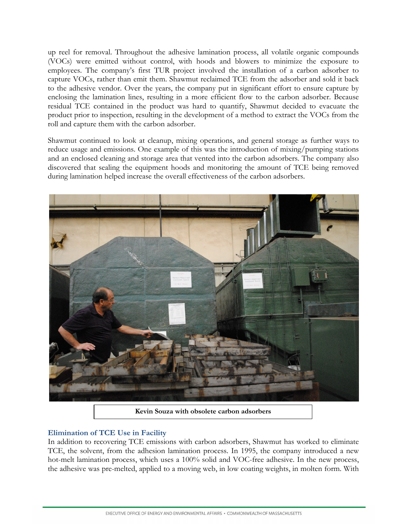up reel for removal. Throughout the adhesive lamination process, all volatile organic compounds (VOCs) were emitted without control, with hoods and blowers to minimize the exposure to employees. The company's first TUR project involved the installation of a carbon adsorber to capture VOCs, rather than emit them. Shawmut reclaimed TCE from the adsorber and sold it back to the adhesive vendor. Over the years, the company put in significant effort to ensure capture by enclosing the lamination lines, resulting in a more efficient flow to the carbon adsorber. Because residual TCE contained in the product was hard to quantify, Shawmut decided to evacuate the product prior to inspection, resulting in the development of a method to extract the VOCs from the roll and capture them with the carbon adsorber.

Shawmut continued to look at cleanup, mixing operations, and general storage as further ways to reduce usage and emissions. One example of this was the introduction of mixing/pumping stations and an enclosed cleaning and storage area that vented into the carbon adsorbers. The company also discovered that sealing the equipment hoods and monitoring the amount of TCE being removed during lamination helped increase the overall effectiveness of the carbon adsorbers.



**Kevin Souza with obsolete carbon adsorbers**

## **Elimination of TCE Use in Facility**

In addition to recovering TCE emissions with carbon adsorbers, Shawmut has worked to eliminate TCE, the solvent, from the adhesion lamination process. In 1995, the company introduced a new hot-melt lamination process, which uses a 100% solid and VOC-free adhesive. In the new process, the adhesive was pre-melted, applied to a moving web, in low coating weights, in molten form. With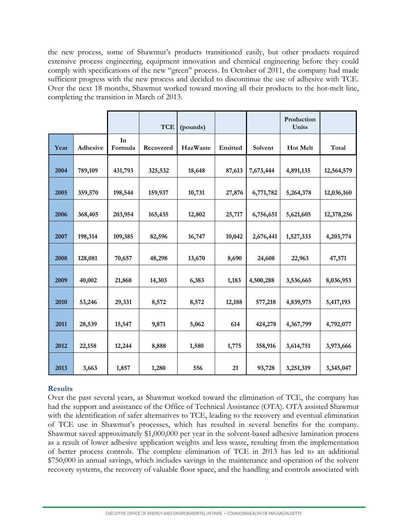the new process, some of Shawmut's products transitioned easily, but other products required extensive process engineering, equipment innovation and chemical engineering before they could comply with specifications of the new "green" process. In October of 2011, the company had made sufficient progress with the new process and decided to discontinue the use of adhesive with TCE. Over the next 18 months, Shawmut worked toward moving all their products to the hot-melt line, completing the transition in March of 2013.

|      |          |               | <b>TCE</b> | (pounds) |         |           | Production<br>Units |            |
|------|----------|---------------|------------|----------|---------|-----------|---------------------|------------|
| Year | Adhesive | In<br>Formula | Recovered  | HazWaste | Emitted | Solvent   | Hot Melt            | Total      |
| 2004 | 789,109  | 431,793       | 325,532    | 18,648   | 87,613  | 7,673,444 | 4,891,135           | 12,564,579 |
| 2005 | 359,570  | 198,544       | 159,937    | 10,731   | 27,876  | 6,771,782 | 5,264,378           | 12,036,160 |
| 2006 | 368,405  | 203,954       | 165,435    | 12,802   | 25,717  | 6,756,651 | 5,621,605           | 12,378,256 |
| 2007 | 198,314  | 109,385       | 82,596     | 16,747   | 10,042  | 2,676,441 | 1,527,333           | 4,203,774  |
| 2008 | 128,081  | 70,657        | 48,298     | 13,670   | 8,690   | 24,608    | 22,963              | 47,571     |
| 2009 | 40,002   | 21,868        | 14,303     | 6,383    | 1,183   | 4,500,288 | 3,536,665           | 8,036,953  |
| 2010 | 53,246   | 29,331        | 8,572      | 8,572    | 12,188  | 577,218   | 4,839,975           | 5,417,193  |
| 2011 | 28,539   | 15,547        | 9,871      | 5,062    | 614     | 424,278   | 4,367,799           | 4,792,077  |
| 2012 | 22,158   | 12,244        | 8,888      | 1,580    | 1,775   | 358,916   | 3,614,751           | 3,973,666  |
| 2013 | 3,663    | 1,857         | 1,280      | 556      | 21      | 93,728    | 3,251,319           | 3,345,047  |

## **Results**

Over the past several years, as Shawmut worked toward the elimination of TCE, the company has had the support and assistance of the Office of Technical Assistance (OTA). OTA assisted Shawmut with the identification of safer alternatives to TCE, leading to the recovery and eventual elimination of TCE use in Shawmut's processes, which has resulted in several benefits for the company. Shawmut saved approximately \$1,000,000 per year in the solvent-based adhesive lamination process as a result of lower adhesive application weights and less waste, resulting from the implementation of better process controls. The complete elimination of TCE in 2013 has led to an additional \$750,000 in annual savings, which includes savings in the maintenance and operation of the solvent recovery systems, the recovery of valuable floor space, and the handling and controls associated with